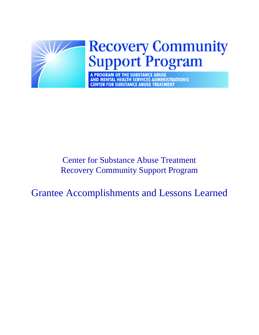

# Center for Substance Abuse Treatment Recovery Community Support Program

Grantee Accomplishments and Lessons Learned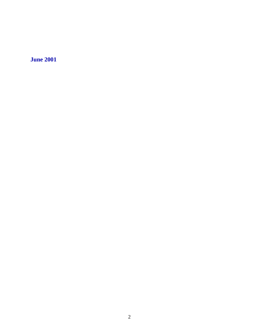**June 2001**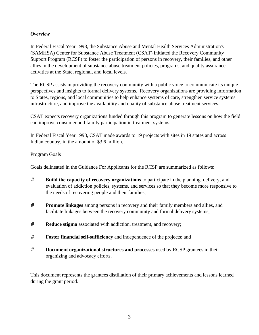# *Overview*

In Federal Fiscal Year 1998, the Substance Abuse and Mental Health Services Administration's (SAMHSA) Center for Substance Abuse Treatment (CSAT) initiated the Recovery Community Support Program (RCSP) to foster the participation of persons in recovery, their families, and other allies in the development of substance abuse treatment policies, programs, and quality assurance activities at the State, regional, and local levels.

The RCSP assists in providing the recovery community with a public voice to communicate its unique perspectives and insights to formal delivery systems. Recovery organizations are providing information to States, regions, and local communities to help enhance systems of care, strengthen service systems infrastructure, and improve the availability and quality of substance abuse treatment services.

CSAT expects recovery organizations funded through this program to generate lessons on how the field can improve consumer and family participation in treatment systems.

In Federal Fiscal Year 1998, CSAT made awards to 19 projects with sites in 19 states and across Indian country, in the amount of \$3.6 million.

# Program Goals

Goals delineated in the Guidance For Applicants for the RCSP are summarized as follows:

- # **Build the capacity of recovery organizations** to participate in the planning, delivery, and evaluation of addiction policies, systems, and services so that they become more responsive to the needs of recovering people and their families;
- # **Promote linkages** among persons in recovery and their family members and allies, and facilitate linkages between the recovery community and formal delivery systems;
- # **Reduce stigma** associated with addiction, treatment, and recovery;
- # **Foster financial self-sufficiency** and independence of the projects; and
- # **Document organizational structures and processes** used by RCSP grantees in their organizing and advocacy efforts.

This document represents the grantees distillation of their primary achievements and lessons learned during the grant period.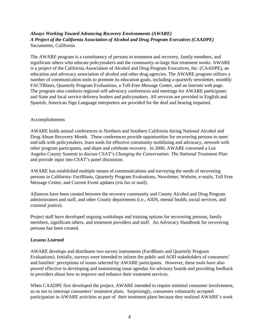## *Always Working Toward Advancing Recovery Environments (AWARE) A Project of the California Association of Alcohol and Drug Program Executives (CAADPE)* Sacramento, California

The AWARE program is a constituency of persons in treatment and recovery, family members, and significant others who educate policymakers and the community-at-large that treatment works. AWARE is a project of the California Association of Alcohol and Drug Program Executives, Inc. (CAADPE), an education and advocacy association of alcohol and other drug agencies. The AWARE program utilizes a number of communication tools to promote its education goals, including a quarterly newsletter, monthly FACTBlasts, Quarterly Program Evaluations, a Toll-Free Message Center, and an Internet web page. The program also conducts regional self-advocacy conferences and meetings for AWARE participants and State and local service delivery leaders and policymakers. All services are provided in English and Spanish; American Sign Language interpreters are provided for the deaf and hearing impaired.

#### Accomplishments

AWARE holds annual conferences in Northern and Southern California during National Alcohol and Drug Abuse Recovery Month. These conferences provide opportunities for recovering persons to meet and talk with policymakers, learn tools for effective community mobilizing and advocacy, network with other program participants, and share and celebrate recovery. In 2000, AWARE convened a Los Angeles County Summit to discuss CSAT's *Changing the Conversation: The National Treatment Plan* and provide input into CSAT's panel discussion.

AWARE has established multiple means of communications and surveying the needs of recovering persons in California: FactBlasts, Quarterly Program Evaluations, Newsletter, Website, e-mails, Toll Free Message Center, and Current Event updates (via fax or mail).

Alliances have been created between the recovery community and County Alcohol and Drug Program administrators and staff, and other County departments (i.e., AIDS, mental health, social services, and criminal justice).

Project staff have developed ongoing workshops and training options for recovering persons, family members, significant others, and treatment providers and staff. An Advocacy Handbook for recovering persons has been created.

## *Lessons Learned*

AWARE develops and distributes two survey instruments (FactBlasts and Quarterly Program Evaluations). Initially, surveys were intended to inform the public and AOD stakeholders of consumers' and families' perceptions of issues selected by AWARE participants. However, these tools have also proved effective in developing and maintaining issue agendas for advisory boards and providing feedback to providers about how to improve and enhance their treatment services.

When CAADPE first developed the project, AWARE intended to require minimal consumer involvement, so as not to interrupt consumers' treatment plans. Surprisingly, consumers voluntarily accepted participation in AWARE activities as part of their treatment plans because they realized AWARE's work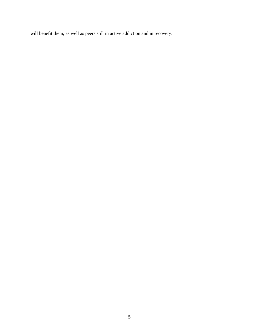will benefit them, as well as peers still in active addiction and in recovery.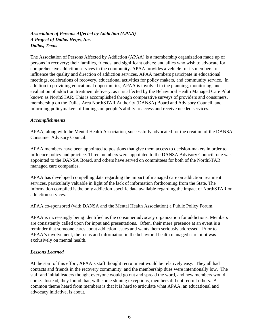# *Association of Persons Affected by Addiction (APAA) A Project of Dallas Helps, Inc. Dallas, Texas*

The Association of Persons Affected by Addiction (APAA) is a membership organization made up of persons in recovery; their families, friends, and significant others; and allies who wish to advocate for comprehensive addiction services in the community. APAA provides a vehicle for its members to influence the quality and direction of addiction services. APAA members participate in educational meetings, celebrations of recovery, educational activities for policy makers, and community service. In addition to providing educational opportunities, APAA is involved in the planning, monitoring, and evaluation of addiction treatment delivery, as it is affected by the Behavioral Health Managed Care Pilot known as NorthSTAR. This is accomplished through comparative surveys of providers and consumers, membership on the Dallas Area NorthSTAR Authority (DANSA) Board and Advisory Council, and informing policymakers of findings on people's ability to access and receive needed services.

#### *Accomplishments*

APAA, along with the Mental Health Association, successfully advocated for the creation of the DANSA Consumer Advisory Council.

APAA members have been appointed to positions that give them access to decision-makers in order to influence policy and practice. Three members were appointed to the DANSA Advisory Council, one was appointed to the DANSA Board, and others have served on committees for both of the NorthSTAR managed care companies.

APAA has developed compelling data regarding the impact of managed care on addiction treatment services, particularly valuable in light of the lack of information forthcoming from the State. The information compiled is the only addiction-specific data available regarding the impact of NorthSTAR on addiction services.

APAA co-sponsored (with DANSA and the Mental Health Association) a Public Policy Forum.

APAA is increasingly being identified as the consumer advocacy organization for addictions. Members are consistently called upon for input and presentations. Often, their mere presence at an event is a reminder that someone cares about addiction issues and wants them seriously addressed. Prior to APAA's involvement, the focus and information in the behavioral health managed care pilot was exclusively on mental health.

## *Lessons Learned*

At the start of this effort, APAA's staff thought recruitment would be relatively easy. They all had contacts and friends in the recovery community, and the membership dues were intentionally low. The staff and initial leaders thought everyone would go out and spread the word, and new members would come. Instead, they found that, with some shining exceptions, members did not recruit others. A common theme heard from members is that it is hard to articulate what APAA, an educational and advocacy initiative, is about.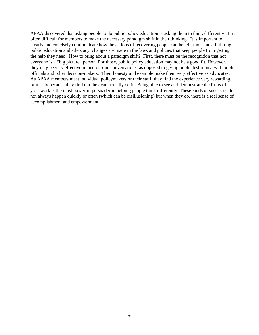APAA discovered that asking people to do public policy education is asking them to think differently. It is often difficult for members to make the necessary paradigm shift in their thinking. It is important to clearly and concisely communicate how the actions of recovering people can benefit thousands if, through public education and advocacy, changes are made in the laws and policies that keep people from getting the help they need. How to bring about a paradigm shift? First, there must be the recognition that not everyone is a "big picture" person. For those, public policy education may not be a good fit. However, they may be very effective in one-on-one conversations, as opposed to giving public testimony, with public officials and other decision-makers. Their honesty and example make them very effective as advocates. As APAA members meet individual policymakers or their staff, they find the experience very rewarding, primarily because they find out they can actually do it. Being able to see and demonstrate the fruits of your work is the most powerful persuader in helping people think differently. These kinds of successes do not always happen quickly or often (which can be disillusioning) but when they do, there is a real sense of accomplishment and empowerment.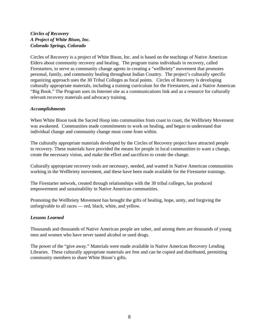## *Circles of Recovery A Project of White Bison, Inc. Colorado Springs, Colorado*

Circles of Recovery is a project of White Bison, Inc. and is based on the teachings of Native American Elders about community recovery and healing. The program trains individuals in recovery, called Firestarters, to serve as community change agents in creating a "wellbriety" movement that promotes personal, family, and community healing throughout Indian Country. The project's culturally specific organizing approach uses the 30 Tribal Colleges as focal points. Circles of Recovery is developing culturally appropriate materials, including a training curriculum for the Firestarters, and a Native American "Big Book." The Program uses its Internet site as a communications link and as a resource for culturally relevant recovery materials and advocacy training.

## *Accomplishments*

When White Bison took the Sacred Hoop into communities from coast to coast, the Wellbriety Movement was awakened. Communities made commitments to work on healing, and began to understand that individual change and community change must come from within.

The culturally appropriate materials developed by the Circles of Recovery project have attracted people to recovery. These materials have provided the means for people in local communities to want a change, create the necessary vision, and make the effort and sacrifices to create the change.

Culturally appropriate recovery tools are necessary, needed, and wanted in Native American communities working in the Wellbriety movement, and these have been made available for the Firestarter trainings.

The Firestarter network, created through relationships with the 30 tribal colleges, has produced empowerment and sustainability in Native American communities.

Promoting the Wellbriety Movement has brought the gifts of healing, hope, unity, and forgiving the unforgivable to all races — red, black, white, and yellow.

## *Lessons Learned*

Thousands and thousands of Native American people are sober, and among them are thousands of young men and women who have never tasted alcohol or used drugs.

The power of the "give away." Materials were made available in Native American Recovery Lending Libraries. These culturally appropriate materials are free and can be copied and distributed, permitting community members to share White Bison's gifts.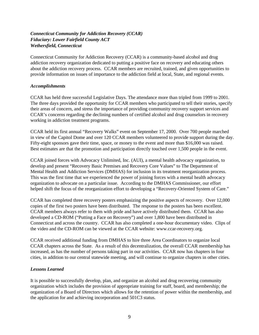## *Connecticut Community for Addiction Recovery (CCAR) Fiduciary: Lower Fairfield County ACT Wethersfield, Connecticut*

Connecticut Community for Addiction Recovery (CCAR) is a community-based alcohol and drug addiction recovery organization dedicated to putting a positive face on recovery and educating others about the addiction recovery process. CCAR members are recruited, trained, and given opportunities to provide information on issues of importance to the addiction field at local, State, and regional events.

#### *Accomplishments*

CCAR has held three successful Legislative Days. The attendance more than tripled from 1999 to 2001. The three days provided the opportunity for CCAR members who participated to tell their stories, specify their areas of concern, and stress the importance of providing community recovery support services and CCAR's concerns regarding the declining numbers of certified alcohol and drug counselors in recovery working in addiction treatment programs.

CCAR held its first annual "Recovery Walks" event on September 17, 2000. Over 700 people marched in view of the Capitol Dome and over 120 CCAR members volunteered to provide support during the day. Fifty-eight sponsors gave their time, space, or money to the event and more than \$16,000 was raised. Best estimates are that the promotion and participation directly touched over 1,500 people in the event.

CCAR joined forces with Advocacy Unlimited, Inc. (AUI), a mental health advocacy organization, to develop and present "Recovery Basic Premises and Recovery Core Values" to The Department of Mental Health and Addiction Services (DMHAS) for inclusion in its treatment reorganization process. This was the first time that we experienced the power of joining forces with a mental health advocacy organization to advocate on a particular issue. According to the DMHAS Commissioner, our effort helped shift the focus of the reorganization effort to developing a "Recovery-Oriented System of Care."

CCAR has completed three recovery posters emphasizing the positive aspects of recovery. Over 12,000 copies of the first two posters have been distributed. The response to the posters has been excellent. CCAR members always refer to them with pride and have actively distributed them. CCAR has also developed a CD-ROM ("Putting a Face on Recovery") and over 1,800 have been distributed in Connecticut and across the country. CCAR has also completed a one-hour documentary video. Clips of the video and the CD-ROM can be viewed at the CCAR website: www.ccar-recovery.org.

CCAR received additional funding from DMHAS to hire three Area Coordinators to organize local CCAR chapters across the State. As a result of this decentralization, the overall CCAR membership has increased, as has the number of persons taking part in our activities. CCAR now has chapters in four cities, in addition to our central statewide meeting, and will continue to organize chapters in other cities.

## *Lessons Learned*

It is possible to successfully develop, plan, and organize an alcohol and drug recovering community organization which includes the provision of appropriate training for staff, board, and membership; the organization of a Board of Directors which allows for the retention of power within the membership, and the application for and achieving incorporation and 501C3 status.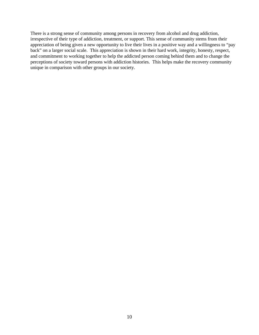There is a strong sense of community among persons in recovery from alcohol and drug addiction, irrespective of their type of addiction, treatment, or support. This sense of community stems from their appreciation of being given a new opportunity to live their lives in a positive way and a willingness to "pay back" on a larger social scale. This appreciation is shown in their hard work, integrity, honesty, respect, and commitment to working together to help the addicted person coming behind them and to change the perceptions of society toward persons with addiction histories. This helps make the recovery community unique in comparison with other groups in our society.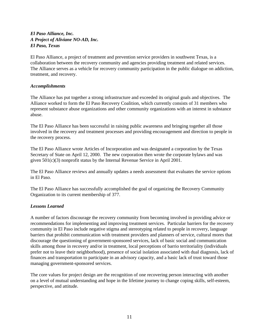## *El Paso Alliance, Inc. A Project of Aliviane NO-AD, Inc. El Paso, Texas*

El Paso Alliance, a project of treatment and prevention service providers in southwest Texas, is a collaboration between the recovery community and agencies providing treatment and related services. The Alliance serves as a vehicle for recovery community participation in the public dialogue on addiction, treatment, and recovery.

## *Accomplishments*

The Alliance has put together a strong infrastructure and exceeded its original goals and objectives. The Alliance worked to form the El Paso Recovery Coalition, which currently consists of 31 members who represent substance abuse organizations and other community organizations with an interest in substance abuse.

The El Paso Alliance has been successful in raising public awareness and bringing together all those involved in the recovery and treatment processes and providing encouragement and direction to people in the recovery process.

The El Paso Alliance wrote Articles of Incorporation and was designated a corporation by the Texas Secretary of State on April 12, 2000. The new corporation then wrote the corporate bylaws and was given 501(c)(3) nonprofit status by the Internal Revenue Service in April 2001.

The El Paso Alliance reviews and annually updates a needs assessment that evaluates the service options in El Paso.

The El Paso Alliance has successfully accomplished the goal of organizing the Recovery Community Organization to its current membership of 377.

## *Lessons Learned*

A number of factors discourage the recovery community from becoming involved in providing advice or recommendations for implementing and improving treatment services. Particular barriers for the recovery community in El Paso include negative stigma and stereotyping related to people in recovery, language barriers that prohibit communication with treatment providers and planners of service, cultural mores that discourage the questioning of government-sponsored services, lack of basic social and communication skills among those in recovery and/or in treatment, local perceptions of barrio territoriality (individuals prefer not to leave their neighborhood), presence of social isolation associated with dual diagnosis, lack of finances and transportation to participate in an advisory capacity, and a basic lack of trust toward those managing government-sponsored services.

The core values for project design are the recognition of one recovering person interacting with another on a level of mutual understanding and hope in the lifetime journey to change coping skills, self-esteem, perspective, and attitude.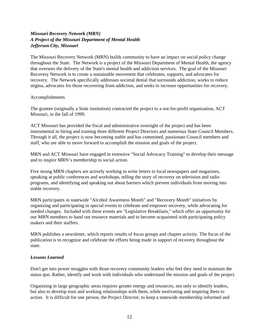## *Missouri Recovery Network (MRN) A Project of the Missouri Department of Mental Health Jefferson City, Missouri*

The Missouri Recovery Network (MRN) builds community to have an impact on social policy change throughout the State. The Network is a project of the Missouri Department of Mental Health, the agency that oversees the delivery of the State's mental health and addiction services. The goal of the Missouri Recovery Network is to create a sustainable movement that celebrates, supports, and advocates for recovery. The Network specifically addresses societal denial that surrounds addiction, works to reduce stigma, advocates for those recovering from addiction, and seeks to increase opportunities for recovery.

#### Accomplishments

The grantee (originally a State institution) contracted the project to a not-for-profit organization, ACT Missouri, in the fall of 1999.

ACT Missouri has provided the fiscal and administrative oversight of the project and has been instrumental in hiring and training three different Project Directors and numerous State Council Members. Through it all, the project is now becoming stable and has committed, passionate Council members and staff, who are able to move forward to accomplish the mission and goals of the project.

MRN and ACT Missouri have engaged in extensive "Social Advocacy Training" to develop their message and to inspire MRN's membership to social action.

Five strong MRN chapters are actively working to write letters to local newspapers and magazines, speaking at public conferences and workshops, telling the story of recovery on television and radio programs, and identifying and speaking out about barriers which prevent individuals from moving into stable recovery.

MRN participates in statewide "Alcohol Awareness Month" and "Recovery Month" initiatives by organizing and participating in special events to celebrate and empower recovery, while advocating for needed changes. Included with these events are "Legislative Breakfasts," which offer an opportunity for our MRN members to hand out resource materials and to become acquainted with participating policy makers and their staffers.

MRN publishes a newsletter, which reports results of focus groups and chapter activity. The focus of the publication is to recognize and celebrate the efforts being made in support of recovery throughout the state.

## *Lessons Learned*

Don't get into power struggles with those recovery community leaders who feel they need to maintain the status quo. Rather, identify and work with individuals who understand the mission and goals of the project.

Organizing in large geographic areas requires greater energy and resources, not only to identify leaders, but also to develop trust and working relationships with them, while motivating and inspiring them to action. It is difficult for one person, the Project Director, to keep a statewide membership informed and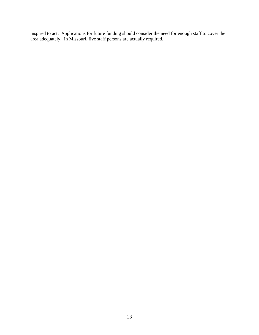inspired to act. Applications for future funding should consider the need for enough staff to cover the area adequately. In Missouri, five staff persons are actually required.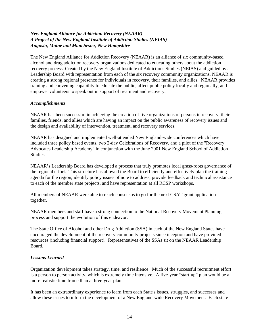## *New England Alliance for Addiction Recovery (NEAAR) A Project of the New England Institute of Addiction Studies (NEIAS) Augusta, Maine and Manchester, New Hampshire*

The New England Alliance for Addiction Recovery (NEAAR) is an alliance of six community-based alcohol and drug addiction recovery organizations dedicated to educating others about the addiction recovery process. Created by the New England Institute of Addictions Studies (NEIAS) and guided by a Leadership Board with representation from each of the six recovery community organizations, NEAAR is creating a strong regional presence for individuals in recovery, their families, and allies. NEAAR provides training and convening capability to educate the public, affect public policy locally and regionally, and empower volunteers to speak out in support of treatment and recovery.

#### *Accomplishments*

NEAAR has been successful in achieving the creation of five organizations of persons in recovery, their families, friends, and allies which are having an impact on the public awareness of recovery issues and the design and availability of intervention, treatment, and recovery services.

NEAAR has designed and implemented well-attended New England-wide conferences which have included three policy based events, two 2-day Celebrations of Recovery, and a pilot of the "Recovery Advocates Leadership Academy" in conjunction with the June 2001 New England School of Addiction Studies.

NEAAR's Leadership Board has developed a process that truly promotes local grass-roots governance of the regional effort. This structure has allowed the Board to efficiently and effectively plan the training agenda for the region, identify policy issues of note to address, provide feedback and technical assistance to each of the member state projects, and have representation at all RCSP workshops.

All members of NEAAR were able to reach consensus to go for the next CSAT grant application together.

NEAAR members and staff have a strong connection to the National Recovery Movement Planning process and support the evolution of this endeavor.

The State Office of Alcohol and other Drug Addiction (SSA) in each of the New England States have encouraged the development of the recovery community projects since inception and have provided resources (including financial support). Representatives of the SSAs sit on the NEAAR Leadership Board.

## *Lessons Learned*

Organization development takes strategy, time, and resilience. Much of the successful recruitment effort is a person to person activity, which is extremely time intensive. A five-year "start-up" plan would be a more realistic time frame than a three-year plan.

It has been an extraordinary experience to learn from each State's issues, struggles, and successes and allow these issues to inform the development of a New England-wide Recovery Movement. Each state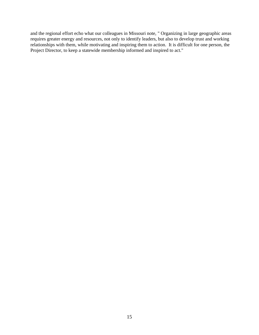and the regional effort echo what our colleagues in Missouri note, " Organizing in large geographic areas requires greater energy and resources, not only to identify leaders, but also to develop trust and working relationships with them, while motivating and inspiring them to action. It is difficult for one person, the Project Director, to keep a statewide membership informed and inspired to act."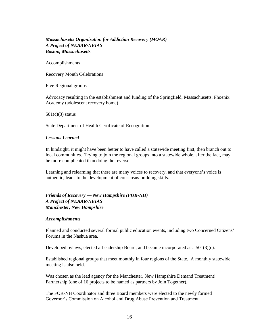## *Massachusetts Organization for Addiction Recovery (MOAR) A Project of NEAAR/NEIAS Boston, Massachusetts*

Accomplishments

Recovery Month Celebrations

Five Regional groups

Advocacy resulting in the establishment and funding of the Springfield, Massachusetts, Phoenix Academy (adolescent recovery home)

 $501(c)(3)$  status

State Department of Health Certificate of Recognition

#### *Lessons Learned*

In hindsight, it might have been better to have called a statewide meeting first, then branch out to local communities. Trying to join the regional groups into a statewide whole, after the fact, may be more complicated than doing the reverse.

Learning and relearning that there are many voices to recovery, and that everyone's voice is authentic, leads to the development of consensus-building skills.

## *Friends of Recovery — New Hampshire (FOR-NH) A Project of NEAAR/NEIAS Manchester, New Hampshire*

#### *Accomplishments*

Planned and conducted several formal public education events, including two Concerned Citizens' Forums in the Nashua area.

Developed bylaws, elected a Leadership Board, and became incorporated as a 501(3)(c).

Established regional groups that meet monthly in four regions of the State. A monthly statewide meeting is also held.

Was chosen as the lead agency for the Manchester, New Hampshire Demand Treatment! Partnership (one of 16 projects to be named as partners by Join Together).

The FOR-NH Coordinator and three Board members were elected to the newly formed Governor's Commission on Alcohol and Drug Abuse Prevention and Treatment.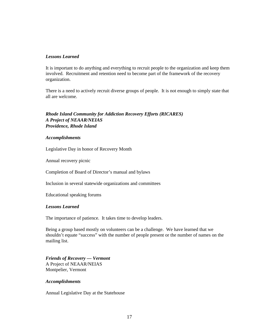#### *Lessons Learned*

It is important to do anything and everything to recruit people to the organization and keep them involved. Recruitment and retention need to become part of the framework of the recovery organization.

There is a need to actively recruit diverse groups of people. It is not enough to simply state that all are welcome.

## *Rhode Island Community for Addiction Recovery Efforts (RICARES) A Project of NEAAR/NEIAS Providence, Rhode Island*

#### *Accomplishments*

Legislative Day in honor of Recovery Month

Annual recovery picnic

Completion of Board of Director's manual and bylaws

Inclusion in several statewide organizations and committees

Educational speaking forums

#### *Lessons Learned*

The importance of patience. It takes time to develop leaders.

Being a group based mostly on volunteers can be a challenge. We have learned that we shouldn't equate "success" with the number of people present or the number of names on the mailing list.

*Friends of Recovery — Vermont* A Project of NEAAR/NEIAS Montpelier, Vermont

#### *Accomplishments*

Annual Legislative Day at the Statehouse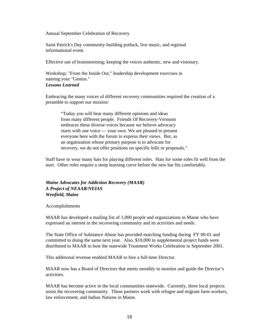Annual September Celebration of Recovery

Saint Patrick's Day community-building potluck, live music, and regional informational event.

Effective use of brainstorming; keeping the voices authentic, new and visionary.

Workshop; "From the Inside Out," leadership development exercises in naming your "Genius." *Lessons Learned*

Embracing the many voices of different recovery communities required the creation of a preamble to support our mission:

"Today you will hear many different opinions and ideas from many different people. Friends Of Recovery-Vermont embraces these diverse voices because we believe advocacy starts with one voice — your own. We are pleased to present everyone here with the forum to express their views. But, as an organization whose primary purpose is to advocate for recovery, we do not offer positions on specific bills or proposals."

Staff have to wear many hats for playing different roles. Hats for some roles fit well from the start. Other roles require a steep learning curve before the new hat fits comfortably.

## *Maine Advocates for Addiction Recovery (MAAR) A Project of NEAAR/NEIAS Wenfield, Maine*

Accomplishments

MAAR has developed a mailing list of 1,000 people and organizations in Maine who have expressed an interest in the recovering community and its activities and needs.

The State Office of Substance Abuse has provided matching funding during FY 00-01 and committed to doing the same next year. Also, \$10,000 in supplemental project funds were distributed to MAAR to host the statewide Treatment Works Celebration in September 2001.

This additional revenue enabled MAAR to hire a full-time Director.

MAAR now has a Board of Directors that meets monthly to monitor and guide the Director's activities.

MAAR has become active in the local communities statewide. Currently, three local projects assist the recovering community. These partners work with refugee and migrant farm workers, law enforcement, and Indian Nations in Maine.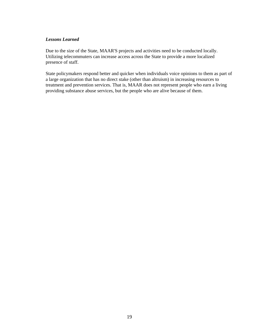#### *Lessons Learned*

Due to the size of the State, MAAR'S projects and activities need to be conducted locally. Utilizing telecommuters can increase access across the State to provide a more localized presence of staff.

State policymakers respond better and quicker when individuals voice opinions to them as part of a large organization that has no direct stake (other than altruism) in increasing resources to treatment and prevention services. That is, MAAR does not represent people who earn a living providing substance abuse services, but the people who are alive because of them.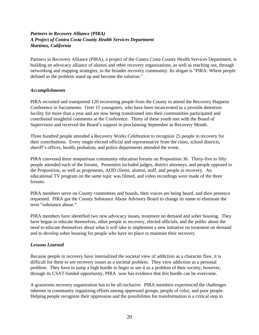# *Partners in Recovery Alliance (PIRA) A Project of Contra Costa County Health Services Department Martinez, California*

Partners in Recovery Alliance (PIRA), a project of the Contra Costa County Health Services Department, is building an advocacy alliance of alumni and other recovery organizations, as well as reaching out, through networking and mapping strategies, to the broader recovery community. Its slogan is "PIRA: Where people defined as the problem stand up and become the solution."

#### *Accomplishments*

PIRA recruited and transported 120 recovering people from the County to attend the Recovery Happens Conference in Sacramento. Over 15 youngsters, who have been incarcerated in a juvenile detention facility for more than a year and are now being transitioned into their communities participated and contributed insightful comments at the Conference. Thirty of these youth met with the Board of Supervisors and received the Board's support in proclaiming September as Recovery Month.

Three hundred people attended a Recovery Works Celebration to recognize 25 people in recovery for their contributions. Every single elected official and representative from the cities, school districts, sheriff's offices, health, probation, and police departments attended the event.

PIRA convened three nonpartisan community education forums on Proposition 36. Thirty-five to fifty people attended each of the forums. Presenters included judges, district attorneys, and people opposed to the Proposition, as well as proponents, AOD clients, alumni, staff, and people in recovery. An educational TV program on the same topic was filmed, and video recordings were made of the three forums.

PIRA members serve on County committees and boards, their voices are being heard, and their presence requested. PIRA got the County Substance Abuse Advisory Board to change its name to eliminate the term "substance abuse."

PIRA members have identified two new advocacy issues, treatment on demand and sober housing. They have begun to educate themselves, other people in recovery, elected officials, and the public about the need to educate themselves about what it will take to implement a new initiative on treatment on demand and to develop sober housing for people who have no place to maintain their recovery.

## *Lessons Learned*

Because people in recovery have internalized the societal view of addiction as a character flaw, it is difficult for them to see recovery issues as a societal problem. They view addiction as a personal problem. They have to jump a high hurdle to begin to see it as a problem of their society; however, through its CSAT-funded opportunity, PIRA now has evidence that this hurdle can be overcome.

A grassroots recovery organization has to be all-inclusive. PIRA members experienced the challenges inherent in community organizing efforts among oppressed groups, people of color, and poor people. Helping people recognize their oppression and the possibilities for transformation is a critical step in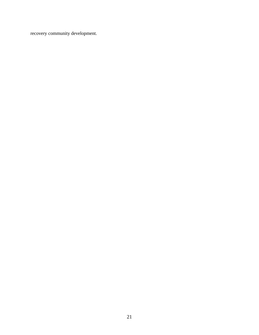recovery community development.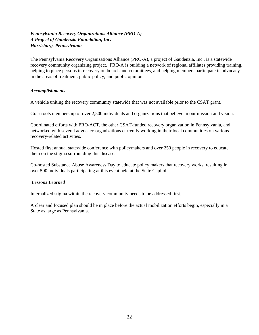## *Pennsylvania Recovery Organizations Alliance (PRO-A) A Project of Gaudenzia Foundation, Inc. Harrisburg, Pennsylvania*

The Pennsylvania Recovery Organizations Alliance (PRO-A), a project of Gaudenzia, Inc., is a statewide recovery community organizing project. PRO-A is building a network of regional affiliates providing training, helping to place persons in recovery on boards and committees, and helping members participate in advocacy in the areas of treatment, public policy, and public opinion.

#### *Accomplishments*

A vehicle uniting the recovery community statewide that was not available prior to the CSAT grant.

Grassroots membership of over 2,500 individuals and organizations that believe in our mission and vision.

Coordinated efforts with PRO-ACT, the other CSAT-funded recovery organization in Pennsylvania, and networked with several advocacy organizations currently working in their local communities on various recovery-related activities.

Hosted first annual statewide conference with policymakers and over 250 people in recovery to educate them on the stigma surrounding this disease.

Co-hosted Substance Abuse Awareness Day to educate policy makers that recovery works, resulting in over 500 individuals participating at this event held at the State Capitol.

#### *Lessons Learned*

Internalized stigma within the recovery community needs to be addressed first.

A clear and focused plan should be in place before the actual mobilization efforts begin, especially in a State as large as Pennsylvania.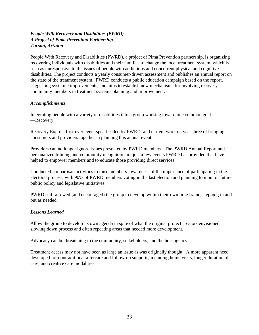# *People With Recovery and Disabilities (PWRD) A Project of Pima Prevention Partnership Tucson, Arizona*

People With Recovery and Disabilities (PWRD), a project of Pima Prevention partnership, is organizing recovering individuals with disabilities and their families to change the local treatment system, which is seen as unresponsive to the issues of people with addictions and concurrent physical and cognitive disabilities. The project conducts a yearly consumer-driven assessment and publishes an annual report on the state of the treatment system. PWRD conducts a public education campaign based on the report, suggesting systemic improvements, and aims to establish new mechanisms for involving recovery community members in treatment systems planning and improvement.

#### *Accomplishments*

Integrating people with a variety of disabilities into a group working toward one common goal —Recovery.

Recovery Expo: a first-ever event spearheaded by PWRD; and current work on year three of bringing consumers and providers together in planning this annual event.

Providers can no longer ignore issues presented by PWRD members. The PWRD Annual Report and personalized training and community recognition are just a few events PWRD has provided that have helped to empower members and to educate those providing direct services.

Conducted nonpartisan activities to raise members' awareness of the importance of participating in the electoral process, with 90% of PWRD members voting in the last election and planning to monitor future public policy and legislative initiatives.

PWRD staff allowed (and encouraged) the group to develop within their own time frame, stepping in and out as needed.

## *Lessons Learned*

Allow the group to develop its own agenda in spite of what the original project creators envisioned, slowing down process and often repeating areas that needed more development.

Advocacy can be threatening to the community, stakeholders, and the host agency.

Treatment access may not have been as large an issue as was originally thought. A more apparent need developed for nontraditional aftercare and follow-up supports, including home visits, longer duration of care, and creative care modalities.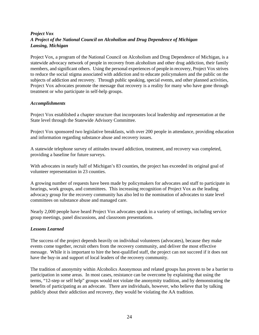# *Project Vox A Project of the National Council on Alcoholism and Drug Dependence of Michigan Lansing, Michigan*

Project Vox, a program of the National Council on Alcoholism and Drug Dependence of Michigan, is a statewide advocacy network of people in recovery from alcoholism and other drug addiction, their family members, and significant others. Using the personal experiences of people in recovery, Project Vox strives to reduce the social stigma associated with addiction and to educate policymakers and the public on the subjects of addiction and recovery. Through public speaking, special events, and other planned activities, Project Vox advocates promote the message that recovery is a reality for many who have gone through treatment or who participate in self-help groups.

#### *Accomplishments*

Project Vox established a chapter structure that incorporates local leadership and representation at the State level through the Statewide Advisory Committee.

Project Vox sponsored two legislative breakfasts, with over 200 people in attendance, providing education and information regarding substance abuse and recovery issues.

A statewide telephone survey of attitudes toward addiction, treatment, and recovery was completed, providing a baseline for future surveys.

With advocates in nearly half of Michigan's 83 counties, the project has exceeded its original goal of volunteer representation in 23 counties.

A growing number of requests have been made by policymakers for advocates and staff to participate in hearings, work groups, and committees. This increasing recognition of Project Vox as the leading advocacy group for the recovery community has also led to the nomination of advocates to state level committees on substance abuse and managed care.

Nearly 2,000 people have heard Project Vox advocates speak in a variety of settings, including service group meetings, panel discussions, and classroom presentations.

## *Lessons Learned*

The success of the project depends heavily on individual volunteers (advocates), because they make events come together, recruit others from the recovery community, and deliver the most effective message. While it is important to hire the best-qualified staff, the project can not succeed if it does not have the buy-in and support of local leaders of the recovery community.

The tradition of anonymity within Alcoholics Anonymous and related groups has proven to be a barrier to participation in some areas. In most cases, resistance can be overcome by explaining that using the terms, "12-step or self help" groups would not violate the anonymity tradition, and by demonstrating the benefits of participating as an advocate. There are individuals, however, who believe that by talking publicly about their addiction and recovery, they would be violating the AA tradition.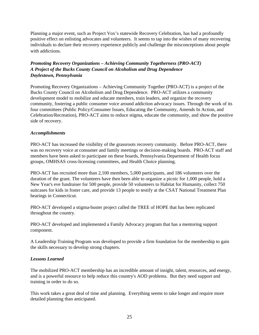Planning a major event, such as Project Vox's statewide Recovery Celebration, has had a profoundly positive effect on enlisting advocates and volunteers. It seems to tap into the wishes of many recovering individuals to declare their recovery experience publicly and challenge the misconceptions about people with addictions.

# *Promoting Recovery Organizations – Achieving Community Togetherness (PRO-ACT) A Project of the Bucks County Council on Alcoholism and Drug Dependence Doylestown, Pennsylvania*

Promoting Recovery Organizations – Achieving Community Together (PRO-ACT) is a project of the Bucks County Council on Alcoholism and Drug Dependence. PRO-ACT utilizes a community development model to mobilize and educate members, train leaders, and organize the recovery community, fostering a public consumer voice around addiction advocacy issues. Through the work of its four committees (Public Policy/Consumer Issues, Educating the Community, Amends In Action, and Celebration/Recreation), PRO-ACT aims to reduce stigma, educate the community, and show the positive side of recovery.

## *Accomplishments*

PRO-ACT has increased the visibility of the grassroots recovery community. Before PRO-ACT, there was no recovery voice at consumer and family meetings or decision-making boards. PRO-ACT staff and members have been asked to participate on these boards, Pennsylvania Department of Health focus groups, OMHSAS cross-licensing committees, and Health Choice planning.

PRO-ACT has recruited more than 2,100 members, 5,000 participants, and 186 volunteers over the duration of the grant. The volunteers have then been able to organize a picnic for 1,000 people, hold a New Year's eve fundraiser for 500 people, provide 50 volunteers to Habitat for Humanity, collect 750 suitcases for kids in foster care, and provide 13 people to testify at the CSAT National Treatment Plan hearings in Connecticut.

PRO-ACT developed a stigma-buster project called the TREE of HOPE that has been replicated throughout the country.

PRO-ACT developed and implemented a Family Advocacy program that has a mentoring support component.

A Leadership Training Program was developed to provide a firm foundation for the membership to gain the skills necessary to develop strong chapters.

# *Lessons Learned*

The mobilized PRO-ACT membership has an incredible amount of insight, talent, resources, and energy, and is a powerful resource to help reduce this country's AOD problems. But they need support and training in order to do so.

This work takes a great deal of time and planning. Everything seems to take longer and require more detailed planning than anticipated.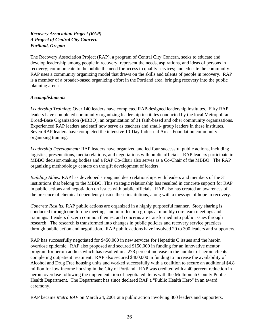# *Recovery Association Project (RAP) A Project of Central City Concern Portland, Oregon*

The Recovery Association Project (RAP), a program of Central City Concern, seeks to educate and develop leadership among people in recovery; represent the needs, aspirations, and ideas of persons in recovery; communicate to the public the need for access to quality services; and educate the community. RAP uses a community organizing model that draws on the skills and talents of people in recovery. RAP is a member of a broader-based organizing effort in the Portland area, bringing recovery into the public planning arena.

## *Accomplishments*

*Leadership Training:* Over 140 leaders have completed RAP-designed leadership institutes. Fifty RAP leaders have completed community organizing leadership institutes conducted by the local Metropolitan Broad-Base Organization (MBBO), an organization of 31 faith-based and other community organizations. Experienced RAP leaders and staff now serve as teachers and small- group leaders in these institutes. Seven RAP leaders have completed the intensive 10-Day Industrial Areas Foundation community organizing training.

*Leadership Development:* RAP leaders have organized and led four successful public actions, including logistics, presentations, media relations, and negotiations with public officials. RAP leaders participate in MBBO decision-making bodies and a RAP Co-Chair also serves as a Co-Chair of the MBBO. The RAP organizing methodology centers on the gift development of leaders.

*Building Allies:* RAP has developed strong and deep relationships with leaders and members of the 31 institutions that belong to the MBBO. This strategic relationship has resulted in concrete support for RAP in public actions and negotiation on issues with public officials. RAP also has created an awareness of the presence of chemical dependency inside these institutions, along with a message of hope in recovery.

*Concrete Results:* RAP public actions are organized in a highly purposeful manner. Story sharing is conducted through one-to-one meetings and in reflection groups at monthly core team meetings and trainings. Leaders discern common themes, and concerns are transformed into public issues through research. The research is transformed into changes in public policies and recovery service practices through public action and negotiation. RAP public actions have involved 20 to 300 leaders and supporters.

RAP has successfully negotiated for \$450,000 in new services for Hepatitis C issues and the heroin overdose epidemic. RAP also proposed and secured \$150,000 in funding for an innovative mentor program for heroin addicts which has resulted in a 278 percent increase in the number of heroin clients completing outpatient treatment. RAP also secured \$400,000 in funding to increase the availability of Alcohol and Drug Free housing units and worked successfully with a coalition to secure an additional \$4.8 million for low-income housing in the City of Portland. RAP was credited with a 40 percent reduction in heroin overdose following the implementation of negotiated items with the Multnomah County Public Health Department. The Department has since declared RAP a "Public Health Hero" in an award ceremony.

RAP became *Metro RAP* on March 24, 2001 at a public action involving 300 leaders and supporters,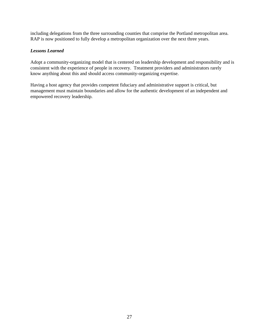including delegations from the three surrounding counties that comprise the Portland metropolitan area. RAP is now positioned to fully develop a metropolitan organization over the next three years.

#### *Lessons Learned*

Adopt a community-organizing model that is centered on leadership development and responsibility and is consistent with the experience of people in recovery. Treatment providers and administrators rarely know anything about this and should access community-organizing expertise.

Having a host agency that provides competent fiduciary and administrative support is critical, but management must maintain boundaries and allow for the authentic development of an independent and empowered recovery leadership.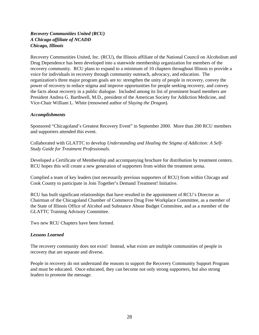## *Recovery Communities United (RCU) A Chicago affiliate of NCADD Chicago, Illinois*

Recovery Communities United, Inc. (RCU), the Illinois affiliate of the National Council on Alcoholism and Drug Dependence has been developed into a statewide membership organization for members of the recovery community. RCU plans to expand to a minimum of 10 chapters throughout Illinois to provide a voice for individuals in recovery through community outreach, advocacy, and education. The organization's three major program goals are to: strengthen the unity of people in recovery, convey the power of recovery to reduce stigma and improve opportunities for people seeking recovery, and convey the facts about recovery in a public dialogue. Included among its list of prominent board members are President Andrea G. Barthwell, M.D., president of the American Society for Addiction Medicine, and Vice-Chair William L. White (renowned author of *Slaying the Dragon*).

#### *Accomplishments*

Sponsored "Chicagoland's Greatest Recovery Event" in September 2000. More than 200 RCU members and supporters attended this event.

Collaborated with GLATTC to develop *Understanding and Healing the Stigma of Addiction: A Self-Study Guide for Treatment Professionals.*

Developed a Certificate of Membership and accompanying brochure for distribution by treatment centers. RCU hopes this will create a new generation of supporters from within the treatment arena.

Complied a team of key leaders (not necessarily previous supporters of RCU) from within Chicago and Cook County to participate in Join Together's Demand Treatment! Initiative.

RCU has built significant relationships that have resulted in the appointment of RCU's Director as Chairman of the Chicagoland Chamber of Commerce Drug Free Workplace Committee, as a member of the State of Illinois Office of Alcohol and Substance Abuse Budget Committee, and as a member of the GLATTC Training Advisory Committee.

Two new RCU Chapters have been formed.

## *Lessons Learned*

The recovery community does not exist! Instead, what exists are multiple communities of people in recovery that are separate and diverse.

People in recovery do not understand the reasons to support the Recovery Community Support Program and must be educated. Once educated, they can become not only strong supporters, but also strong leaders to promote the message.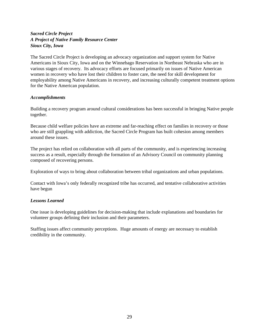# *Sacred Circle Project A Project of Native Family Resource Center Sioux City, Iowa*

The Sacred Circle Project is developing an advocacy organization and support system for Native Americans in Sioux City, Iowa and on the Winnebago Reservation in Northeast Nebraska who are in various stages of recovery. Its advocacy efforts are focused primarily on issues of Native American women in recovery who have lost their children to foster care, the need for skill development for employability among Native Americans in recovery, and increasing culturally competent treatment options for the Native American population.

## *Accomplishments*

Building a recovery program around cultural considerations has been successful in bringing Native people together.

Because child welfare policies have an extreme and far-reaching effect on families in recovery or those who are still grappling with addiction, the Sacred Circle Program has built cohesion among members around these issues.

The project has relied on collaboration with all parts of the community, and is experiencing increasing success as a result, especially through the formation of an Advisory Council on community planning composed of recovering persons.

Exploration of ways to bring about collaboration between tribal organizations and urban populations.

Contact with Iowa's only federally recognized tribe has occurred, and tentative collaborative activities have begun

## *Lessons Learned*

One issue is developing guidelines for decision-making that include explanations and boundaries for volunteer groups defining their inclusion and their parameters.

Staffing issues affect community perceptions. Huge amounts of energy are necessary to establish credibility in the community.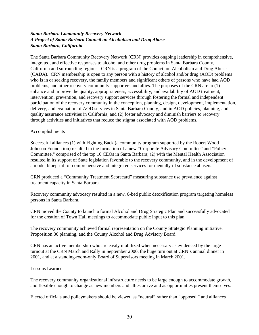## *Santa Barbara Community Recovery Network A Project of Santa Barbara Council on Alcoholism and Drug Abuse Santa Barbara, California*

The Santa Barbara Community Recovery Network (CRN) provides ongoing leadership in comprehensive, integrated, and effective responses to alcohol and other drug problems in Santa Barbara County, California and surrounding regions. CRN is a program of the Council on Alcoholism and Drug Abuse (CADA). CRN membership is open to any person with a history of alcohol and/or drug (AOD) problems who is in or seeking recovery, the family members and significant others of persons who have had AOD problems, and other recovery community supporters and allies. The purposes of the CRN are to (1) enhance and improve the quality, appropriateness, accessibility, and availability of AOD treatment, intervention, prevention, and recovery support services through fostering the formal and independent participation of the recovery community in the conception, planning, design, development, implementation, delivery, and evaluation of AOD services in Santa Barbara County, and in AOD policies, planning, and quality assurance activities in California, and (2) foster advocacy and diminish barriers to recovery through activities and initiatives that reduce the stigma associated with AOD problems.

#### Accomplishments

Successful alliances (1) with Fighting Back (a community program supported by the Robert Wood Johnson Foundation) resulted in the formation of a new "Corporate Advisory Committee" and "Policy Committee," comprised of the top 10 CEOs in Santa Barbara; (2) with the Mental Health Association resulted in its support of State legislation favorable to the recovery community, and in the development of a model blueprint for comprehensive and integrated services for mentally ill substance abusers.

CRN produced a "Community Treatment Scorecard" measuring substance use prevalence against treatment capacity in Santa Barbara.

Recovery community advocacy resulted in a new, 6-bed public detoxification program targeting homeless persons in Santa Barbara.

CRN moved the County to launch a formal Alcohol and Drug Strategic Plan and successfully advocated for the creation of Town Hall meetings to accommodate public input to this plan.

The recovery community achieved formal representation on the County Strategic Planning initiative, Proposition 36 planning, and the County Alcohol and Drug Advisory Board.

CRN has an active membership who are easily mobilized when necessary as evidenced by the large turnout at the CRN March and Rally in September 2000, the huge turn out at CRN's annual dinner in 2001, and at a standing-room-only Board of Supervisors meeting in March 2001.

#### Lessons Learned

The recovery community organizational infrastructure needs to be large enough to accommodate growth, and flexible enough to change as new members and allies arrive and as opportunities present themselves.

Elected officials and policymakers should be viewed as "neutral" rather than "opposed," and alliances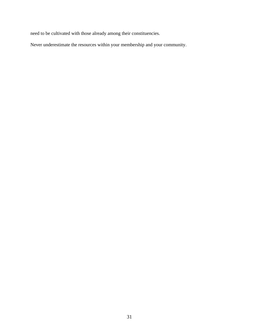need to be cultivated with those already among their constituencies.

Never underestimate the resources within your membership and your community.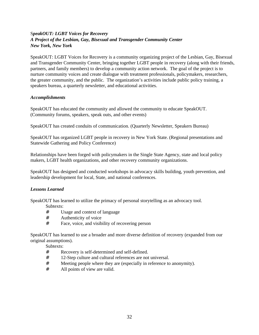# S*peakOUT: LGBT Voices for Recovery A Project of the Lesbian, Gay, Bisexual and Transgender Community Center New York, New York*

SpeakOUT: LGBT Voices for Recovery is a community organizing project of the Lesbian, Gay, Bisexual and Transgender Community Center, bringing together LGBT people in recovery (along with their friends, partners, and family members) to develop a community action network. The goal of the project is to nurture community voices and create dialogue with treatment professionals, policymakers, researchers, the greater community, and the public. The organization's activities include public policy training, a speakers bureau, a quarterly newsletter, and educational activities.

## *Accomplishments*

SpeakOUT has educated the community and allowed the community to educate SpeakOUT. (Community forums, speakers, speak outs, and other events)

SpeakOUT has created conduits of communication. (Quarterly Newsletter, Speakers Bureau)

SpeakOUT has organized LGBT people in recovery in New York State. (Regional presentations and Statewide Gathering and Policy Conference)

Relationships have been forged with policymakers in the Single State Agency, state and local policy makers, LGBT health organizations, and other recovery community organizations.

SpeakOUT has designed and conducted workshops in advocacy skills building, youth prevention, and leadership development for local, State, and national conferences.

# *Lessons Learned*

SpeakOUT has learned to utilize the primacy of personal storytelling as an advocacy tool.

Subtexts:

- # Usage and context of language
- # Authenticity of voice
- # Face, voice, and visibility of recovering person

SpeakOUT has learned to use a broader and more diverse definition of recovery (expanded from our original assumptions).

Subtexts:

- # Recovery is self-determined and self-defined.
- # 12-Step culture and cultural references are not universal.
- # Meeting people where they are (especially in reference to anonymity).
- # All points of view are valid.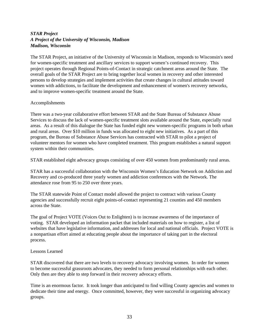## *STAR Project A Project of the University of Wisconsin, Madison Madison, Wisconsin*

The STAR Project, an initiative of the University of Wisconsin in Madison, responds to Wisconsin's need for women-specific treatment and ancillary services to support women's continued recovery. This project operates through Regional Points-of-Contact in strategic catchment areas around the State. The overall goals of the STAR Project are to bring together local women in recovery and other interested persons to develop strategies and implement activities that create changes in cultural attitudes toward women with addictions, to facilitate the development and enhancement of women's recovery networks, and to improve women-specific treatment around the State.

#### Accomplishments

There was a two-year collaborative effort between STAR and the State Bureau of Substance Abuse Services to discuss the lack of women-specific treatment slots available around the State, especially rural areas. As a result of this dialogue the State has funded eight new women-specific programs in both urban and rural areas. Over \$10 million in funds was allocated to eight new initiatives. As a part of this program, the Bureau of Substance Abuse Services has contracted with STAR to pilot a project of volunteer mentors for women who have completed treatment. This program establishes a natural support system within their communities.

STAR established eight advocacy groups consisting of over 450 women from predominantly rural areas.

STAR has a successful collaboration with the Wisconsin Women's Education Network on Addiction and Recovery and co-produced three yearly women and addiction conferences with the Network. The attendance rose from 95 to 250 over three years.

The STAR statewide Point of Contact model allowed the project to contract with various County agencies and successfully recruit eight points-of-contact representing 21 counties and 450 members across the State.

The goal of Project VOTE (Voices Out to Enlighten) is to increase awareness of the importance of voting. STAR developed an information packet that included materials on how to register, a list of websites that have legislative information, and addresses for local and national officials. Project VOTE is a nonpartisan effort aimed at educating people about the importance of taking part in the electoral process.

## Lessons Learned

STAR discovered that there are two levels to recovery advocacy involving women. In order for women to become successful grassroots advocates, they needed to form personal relationships with each other. Only then are they able to step forward in their recovery advocacy efforts.

Time is an enormous factor. It took longer than anticipated to find willing County agencies and women to dedicate their time and energy. Once committed, however, they were successful in organizing advocacy groups.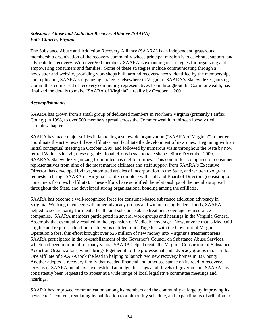# *Substance Abuse and Addiction Recovery Alliance (SAARA) Falls Church, Virginia*

The Substance Abuse and Addiction Recovery Alliance (SAARA) is an independent, grassroots membership organization of the recovery community whose principal mission is to celebrate, support, and advocate for recovery. With over 500 members, SAARA is expanding its strategies for organizing and empowering consumers and families. Some of these strategies include communicating through a newsletter and website, providing workshops built around recovery needs identified by the membership, and replicating SAARA's organizing strategies elsewhere in Virginia. SAARA's Statewide Organizing Committee, comprised of recovery community representatives from throughout the Commonwealth, has finalized the details to make "SAARA of Virginia" a reality by October 1, 2001.

#### *Accomplishments*

SAARA has grown from a small group of dedicated members in Northern Virginia (primarily Fairfax County) in 1998, to over 500 members spread across the Commonwealth in thirteen loosely tied affiliates/chapters.

SAARA has made major strides in launching a statewide organization ("SAARA of Virginia") to better coordinate the activities of these affiliates, and facilitate the development of new ones. Beginning with an initial conceptual meeting in October 1999, and followed by numerous visits throughout the State by now retired Walter Kloetzli, these organizational efforts began to take shape. Since December 2000, SAARA's Statewide Organizing Committee has met four times. This committee, comprised of consumer representatives from nine of the most mature affiliates and staff support from SAARA's Executive Director, has developed bylaws, submitted articles of incorporation to the State, and written two grant requests to bring "SAARA of Virginia" to life, complete with staff and Board of Directors (consisting of consumers from each affiliate). These efforts have solidified the relationships of the members spread throughout the State, and developed strong organizational bonding among the affiliates.

SAARA has become a well-recognized force for consumer-based substance addiction advocacy in Virginia. Working in concert with other advocacy groups and without using Federal funds, SAARA helped to secure parity for mental health and substance abuse treatment coverage by insurance companies. SAARA members participated in several work groups and hearings in the Virginia General Assembly that eventually resulted in the expansion of Medicaid coverage. Now, anyone that is Medicaideligible and requires addiction treatment is entitled to it. Together with the Governor of Virginia's Operation Sabre, this effort brought over \$25 million of new money into Virginia's treatment arena. SAARA participated in the re-establishment of the Governor's Council on Substance Abuse Services, which had been moribund for many years. SAARA helped create the Virginia Consortium of Substance Addiction Organizations, which brings together all of the professional and advocacy groups in our field. One affiliate of SAARA took the lead in helping to launch two new recovery homes in its County. Another adopted a recovery family that needed financial and other assistance on its road to recovery. Dozens of SAARA members have testified at budget hearings at all levels of government. SAARA has consistently been requested to appear at a wide range of local legislative committee meetings and hearings.

SAARA has improved communication among its members and the community at large by improving its newsletter's content, regulating its publication to a bimonthly schedule, and expanding its distribution to